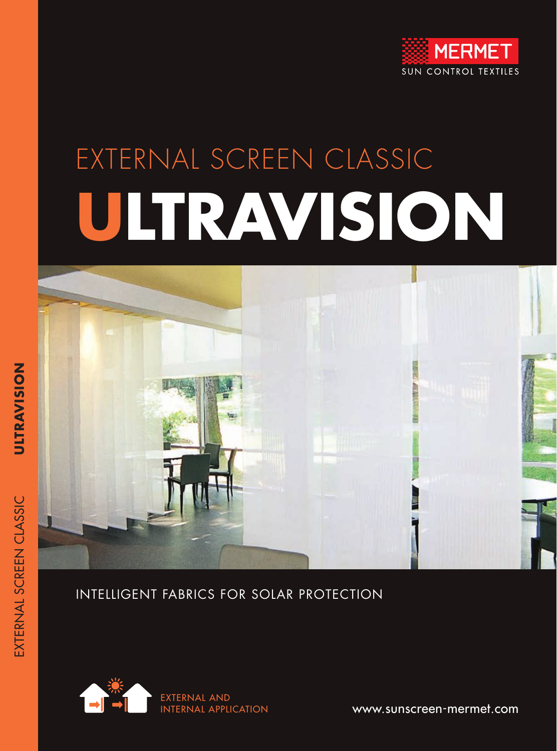

## EXTERNAL SCREEN CLASSIC **ULTRAVISION**



#### INTELLIGENT FABRICS FOR SOLAR PROTECTION



www.sunscreen-mermet.com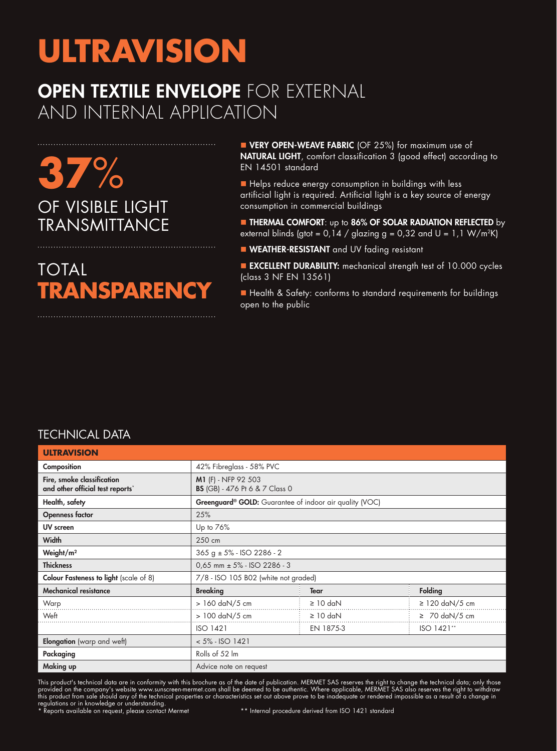#### **OPEN TEXTILE ENVELOPE FOR EXTERNAL** AND INTERNAL APPLICATION

**37**% OF VISIBLE LIGHT **TRANSMITTANCE** 

TOTAL **TRANSPARENCY**

**NERY OPEN-WEAVE FABRIC** (OF 25%) for maximum use of NATURAL LIGHT, comfort classification 3 (good effect) according to EN 14501 standard

 $\blacksquare$  Helps reduce energy consumption in buildings with less artificial light is required. Artificial light is a key source of energy consumption in commercial buildings

**n** THERMAL COMFORT: up to 86% OF SOLAR RADIATION REFLECTED by external blinds (gtot =  $0.14 /$  glazing g =  $0.32$  and U =  $1.1$  W/m<sup>2</sup>K)

**NEATHER-RESISTANT** and UV fading resistant

**EXCELLENT DURABILITY:** mechanical strength test of 10.000 cycles (class 3 NF EN 13561)

■ Health & Safety: conforms to standard requirements for buildings open to the public

#### TECHNICAL DATA

| <b>ULTRAVISION</b>                                             |                                                                     |               |                     |  |  |  |  |  |
|----------------------------------------------------------------|---------------------------------------------------------------------|---------------|---------------------|--|--|--|--|--|
| Composition                                                    | 42% Fibreglass - 58% PVC                                            |               |                     |  |  |  |  |  |
| Fire, smoke classification<br>and other official test reports* | M1 (F) - NFP 92 503<br><b>BS</b> (GB) - 476 Pt 6 & 7 Class 0        |               |                     |  |  |  |  |  |
| Health, safety                                                 | Greenguard <sup>®</sup> GOLD: Guarantee of indoor air quality (VOC) |               |                     |  |  |  |  |  |
| <b>Openness factor</b>                                         | 25%                                                                 |               |                     |  |  |  |  |  |
| UV screen                                                      | Up to 76%                                                           |               |                     |  |  |  |  |  |
| Width                                                          | 250 cm                                                              |               |                     |  |  |  |  |  |
| Weight/m <sup>2</sup>                                          | $365 g \pm 5\%$ - ISO 2286 - 2                                      |               |                     |  |  |  |  |  |
| <b>Thickness</b>                                               | $0.65$ mm $\pm$ 5% - ISO 2286 - 3                                   |               |                     |  |  |  |  |  |
| <b>Colour Fasteness to light</b> (scale of 8)                  | 7/8 - ISO 105 B02 (white not graded)                                |               |                     |  |  |  |  |  |
| <b>Mechanical resistance</b>                                   | <b>Breaking</b>                                                     | <b>Tear</b>   | <b>Folding</b>      |  |  |  |  |  |
| Warp                                                           | $>160$ daN/5 cm                                                     | $\geq 10$ daN | $\geq$ 120 daN/5 cm |  |  |  |  |  |
| Weft                                                           | > 100 daN/5 cm                                                      | $\geq 10$ daN | $\geq 70$ daN/5 cm  |  |  |  |  |  |
|                                                                | <b>ISO 1421</b>                                                     | EN 1875-3     | ISO 1421**          |  |  |  |  |  |
| <b>Elongation</b> (warp and weft)                              | $< 5\% - ISO 1421$                                                  |               |                     |  |  |  |  |  |
| Packaging                                                      | Rolls of 52 lm                                                      |               |                     |  |  |  |  |  |
| Making up                                                      | Advice note on request                                              |               |                     |  |  |  |  |  |

This product's technical data are in conformity with this brochure as of the date of publication. MERMET SAS reserves the right to change the technical data; only those provided on the company's website www.sunscreen-mermet.com shall be deemed to be authentic. Where applicable, MERMET SAS also reserves the right to withdraw this product from sale should any of the technical properties or characteristics set out above prove to be inadequate or rendered impossible as a result of a change in regulations or in knowledge or understanding.<br>\* Reports available on request, please contact Mermet \*\* Internal procedure derived from ISO 1421 standard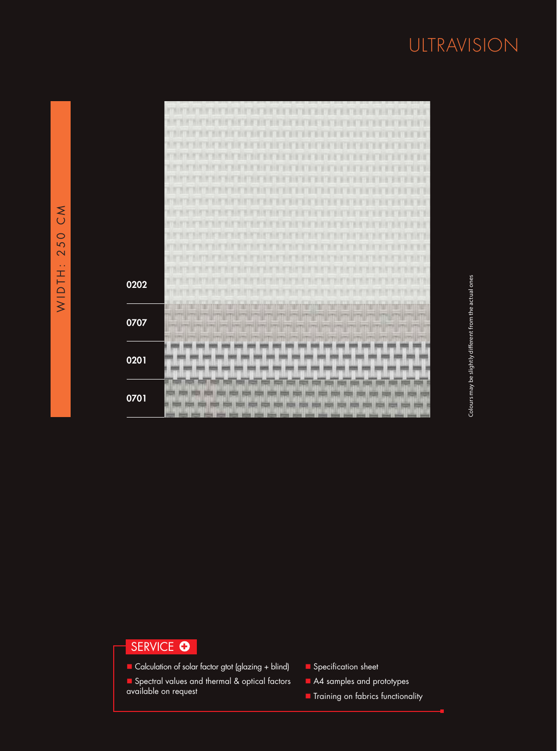|                   | <b>BYTWIEWT</b> |
|-------------------|-----------------|
|                   | ×               |
|                   | и<br>m          |
|                   | и               |
|                   | ×<br>ш          |
|                   | ٦<br>W.         |
|                   | и<br>н          |
|                   | ٦<br>ш          |
|                   | ш<br>Ю          |
|                   |                 |
|                   | œ               |
|                   | ×<br>TH         |
|                   | ıŦ<br>٠         |
|                   |                 |
|                   | и<br>×          |
|                   | π               |
| 0202              | ×               |
|                   |                 |
|                   | ñ               |
| 0707              | Ľ               |
|                   | $ z+1 $         |
|                   |                 |
| 0201              |                 |
|                   |                 |
|                   |                 |
|                   |                 |
| $\overline{0701}$ |                 |
|                   | н               |

# Colours may be slightly different from the actual ones Colours may be slightly different from the actual ones

#### SERVICE **O**

- Calculation of solar factor gtot (glazing + blind)
- Spectral values and thermal & optical factors available on request
- **n** Specification sheet
- A4 samples and prototypes
- **n** Training on fabrics functionality

J.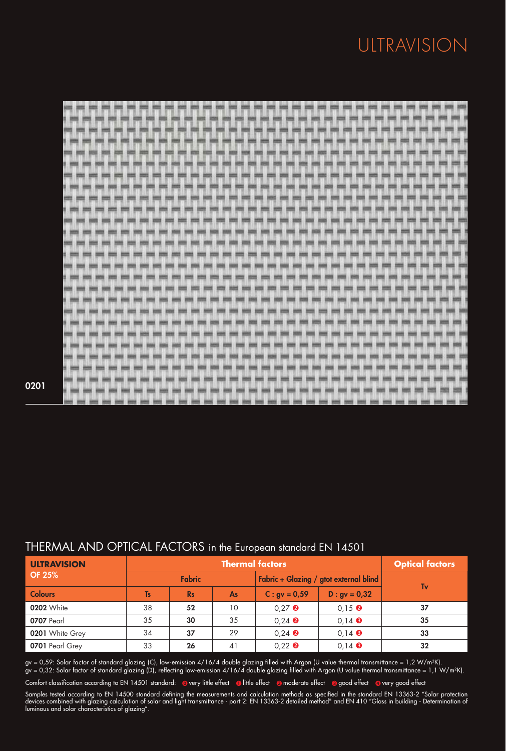|  |                |  | 1958 SHOL AVENUE SOLD SHOW TO A 1970 SERIES STATE SERIES SHOW TO AND SHOW THE THEIR SHOW MINOR |  |  |    |                      |  |  |  |  |  |  |
|--|----------------|--|------------------------------------------------------------------------------------------------|--|--|----|----------------------|--|--|--|--|--|--|
|  | $\overline{a}$ |  |                                                                                                |  |  |    | and most sens need a |  |  |  |  |  |  |
|  |                |  |                                                                                                |  |  |    |                      |  |  |  |  |  |  |
|  |                |  |                                                                                                |  |  |    |                      |  |  |  |  |  |  |
|  |                |  |                                                                                                |  |  |    |                      |  |  |  |  |  |  |
|  |                |  |                                                                                                |  |  |    |                      |  |  |  |  |  |  |
|  |                |  |                                                                                                |  |  | -- |                      |  |  |  |  |  |  |
|  |                |  |                                                                                                |  |  |    |                      |  |  |  |  |  |  |
|  |                |  |                                                                                                |  |  |    |                      |  |  |  |  |  |  |
|  |                |  |                                                                                                |  |  |    |                      |  |  |  |  |  |  |
|  |                |  |                                                                                                |  |  |    |                      |  |  |  |  |  |  |
|  |                |  |                                                                                                |  |  |    |                      |  |  |  |  |  |  |
|  |                |  |                                                                                                |  |  |    |                      |  |  |  |  |  |  |
|  |                |  |                                                                                                |  |  |    |                      |  |  |  |  |  |  |
|  |                |  |                                                                                                |  |  |    |                      |  |  |  |  |  |  |
|  |                |  |                                                                                                |  |  |    |                      |  |  |  |  |  |  |
|  |                |  |                                                                                                |  |  |    |                      |  |  |  |  |  |  |
|  |                |  |                                                                                                |  |  |    |                      |  |  |  |  |  |  |
|  |                |  |                                                                                                |  |  |    |                      |  |  |  |  |  |  |
|  |                |  |                                                                                                |  |  |    |                      |  |  |  |  |  |  |
|  |                |  |                                                                                                |  |  |    |                      |  |  |  |  |  |  |
|  |                |  |                                                                                                |  |  |    |                      |  |  |  |  |  |  |
|  |                |  |                                                                                                |  |  |    |                      |  |  |  |  |  |  |
|  |                |  |                                                                                                |  |  |    |                      |  |  |  |  |  |  |
|  |                |  |                                                                                                |  |  |    |                      |  |  |  |  |  |  |

#### 0201

| <b>ULTRAVISION</b> |           | <b>Optical factors</b><br><b>Thermal factors</b> |    |                                        |                                  |    |  |  |
|--------------------|-----------|--------------------------------------------------|----|----------------------------------------|----------------------------------|----|--|--|
| <b>OF 25%</b>      |           | <b>Fabric</b>                                    |    | Fabric + Glazing / gtot external blind | Tv                               |    |  |  |
| <b>Colours</b>     | <b>Ts</b> | <b>Rs</b>                                        | As | $C:$ gv = 0,59                         | $D : gv = 0.32$                  |    |  |  |
| <b>0202</b> White  | 38        | 52                                               | 10 | $0.27$ <b><math>\odot</math></b>       | $0.15$ <b><math>\odot</math></b> | 37 |  |  |
| 0707 Pearl         | 35        | 30                                               | 35 | $0,24$ $\bullet$                       | $0,14$ $\bullet$                 | 35 |  |  |
| 0201 White Grey    | 34        | 37                                               | 29 | $0.24$ $\odot$                         | $0,14$ $\bullet$                 | 33 |  |  |
| 0701 Pearl Grey    | 33        | 26                                               | 41 | $0.22$ <b><math>\odot</math></b>       | $0.14$ $\odot$                   | 32 |  |  |

#### THERMAL AND OPTICAL FACTORS in the European standard EN 14501

gv = 0,59: Solar factor of standard glazing (C), low-emission 4/16/4 double glazing filled with Argon (U value thermal transmittance = 1,2 W/m²K). gv = 0,32: Solar factor of standard glazing (D), reflecting low-emission 4/16/4 double glazing filled with Argon (U value thermal transmittance = 1,1 W/m²K).

Comfort classification according to EN 14501 standard: @very little effect @little effect @moderate effect @good effect @very good effect

Samples tested according to EN 14500 standard defining the measurements and calculation methods as specified in the standard EN 13363-2 "Solar protection devices combined with glazing calculation of solar and light transmittance - part 2: EN 13363-2 detailed method" and EN 410 "Glass in building - Determination of luminous and solar characteristics of glazing".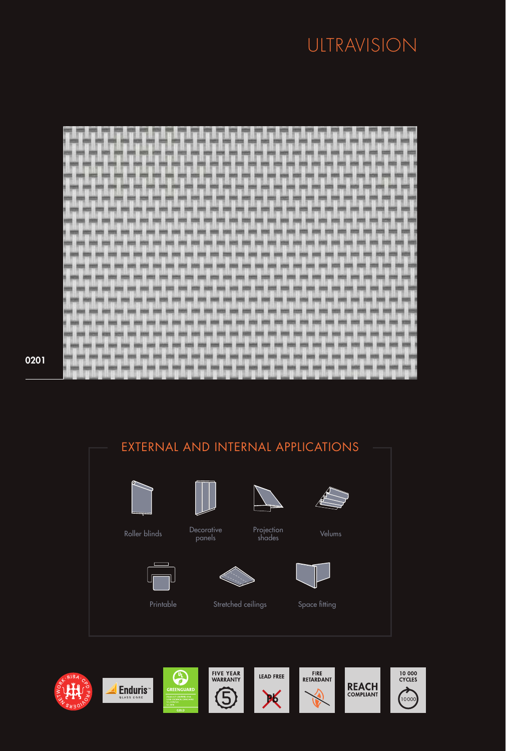| m<br>♦<br>m | E<br>門<br>111<br>--<br>椚<br>m |
|-------------|-------------------------------|
|             |                               |
|             |                               |

#### EXTERNAL AND INTERNAL APPLICATIONS











Printable Stretched ceilings Space fitting



Projection shades Velums





0201